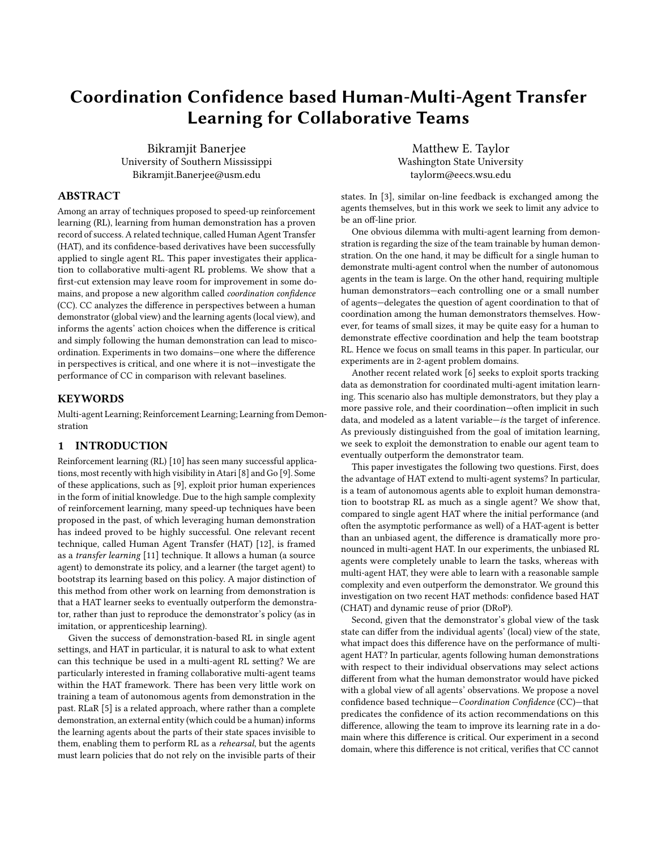# Coordination Confidence based Human-Multi-Agent Transfer Learning for Collaborative Teams

Bikramjit Banerjee University of Southern Mississippi Bikramjit.Banerjee@usm.edu

# ABSTRACT

Among an array of techniques proposed to speed-up reinforcement learning (RL), learning from human demonstration has a proven record of success. A related technique, called Human Agent Transfer (HAT), and its confidence-based derivatives have been successfully applied to single agent RL. This paper investigates their application to collaborative multi-agent RL problems. We show that a first-cut extension may leave room for improvement in some domains, and propose a new algorithm called coordination confidence (CC). CC analyzes the difference in perspectives between a human demonstrator (global view) and the learning agents (local view), and informs the agents' action choices when the difference is critical and simply following the human demonstration can lead to miscoordination. Experiments in two domains—one where the difference in perspectives is critical, and one where it is not—investigate the performance of CC in comparison with relevant baselines.

#### **KEYWORDS**

Multi-agent Learning; Reinforcement Learning; Learning from Demonstration

# 1 INTRODUCTION

Reinforcement learning (RL) [\[10\]](#page-7-0) has seen many successful applications, most recently with high visibility in Atari [\[8\]](#page-7-1) and Go [\[9\]](#page-7-2). Some of these applications, such as [\[9\]](#page-7-2), exploit prior human experiences in the form of initial knowledge. Due to the high sample complexity of reinforcement learning, many speed-up techniques have been proposed in the past, of which leveraging human demonstration has indeed proved to be highly successful. One relevant recent technique, called Human Agent Transfer (HAT) [\[12\]](#page-7-3), is framed as a transfer learning [\[11\]](#page-7-4) technique. It allows a human (a source agent) to demonstrate its policy, and a learner (the target agent) to bootstrap its learning based on this policy. A major distinction of this method from other work on learning from demonstration is that a HAT learner seeks to eventually outperform the demonstrator, rather than just to reproduce the demonstrator's policy (as in imitation, or apprenticeship learning).

Given the success of demonstration-based RL in single agent settings, and HAT in particular, it is natural to ask to what extent can this technique be used in a multi-agent RL setting? We are particularly interested in framing collaborative multi-agent teams within the HAT framework. There has been very little work on training a team of autonomous agents from demonstration in the past. RLaR [\[5\]](#page-7-5) is a related approach, where rather than a complete demonstration, an external entity (which could be a human) informs the learning agents about the parts of their state spaces invisible to them, enabling them to perform RL as a rehearsal, but the agents must learn policies that do not rely on the invisible parts of their

Matthew E. Taylor Washington State University taylorm@eecs.wsu.edu

states. In [\[3\]](#page-7-6), similar on-line feedback is exchanged among the agents themselves, but in this work we seek to limit any advice to be an off-line prior.

One obvious dilemma with multi-agent learning from demonstration is regarding the size of the team trainable by human demonstration. On the one hand, it may be difficult for a single human to demonstrate multi-agent control when the number of autonomous agents in the team is large. On the other hand, requiring multiple human demonstrators—each controlling one or a small number of agents—delegates the question of agent coordination to that of coordination among the human demonstrators themselves. However, for teams of small sizes, it may be quite easy for a human to demonstrate effective coordination and help the team bootstrap RL. Hence we focus on small teams in this paper. In particular, our experiments are in 2-agent problem domains.

Another recent related work [\[6\]](#page-7-7) seeks to exploit sports tracking data as demonstration for coordinated multi-agent imitation learning. This scenario also has multiple demonstrators, but they play a more passive role, and their coordination—often implicit in such data, and modeled as a latent variable—is the target of inference. As previously distinguished from the goal of imitation learning, we seek to exploit the demonstration to enable our agent team to eventually outperform the demonstrator team.

This paper investigates the following two questions. First, does the advantage of HAT extend to multi-agent systems? In particular, is a team of autonomous agents able to exploit human demonstration to bootstrap RL as much as a single agent? We show that, compared to single agent HAT where the initial performance (and often the asymptotic performance as well) of a HAT-agent is better than an unbiased agent, the difference is dramatically more pronounced in multi-agent HAT. In our experiments, the unbiased RL agents were completely unable to learn the tasks, whereas with multi-agent HAT, they were able to learn with a reasonable sample complexity and even outperform the demonstrator. We ground this investigation on two recent HAT methods: confidence based HAT (CHAT) and dynamic reuse of prior (DRoP).

Second, given that the demonstrator's global view of the task state can differ from the individual agents' (local) view of the state, what impact does this difference have on the performance of multiagent HAT? In particular, agents following human demonstrations with respect to their individual observations may select actions different from what the human demonstrator would have picked with a global view of all agents' observations. We propose a novel confidence based technique—Coordination Confidence (CC)—that predicates the confidence of its action recommendations on this difference, allowing the team to improve its learning rate in a domain where this difference is critical. Our experiment in a second domain, where this difference is not critical, verifies that CC cannot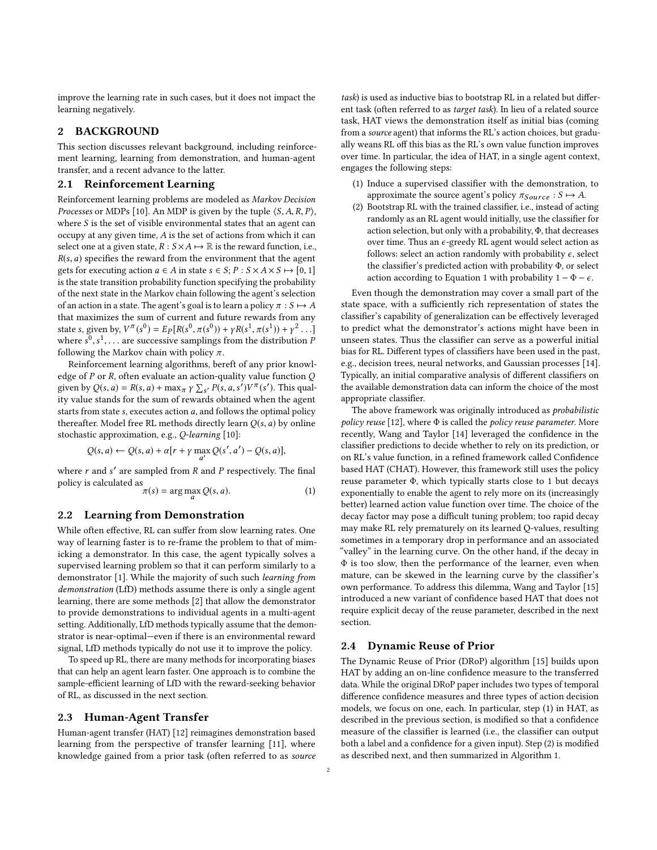improve the learning rate in such cases, but it does not impact the learning negatively.

# 2 BACKGROUND

This section discusses relevant background, including reinforcement learning, learning from demonstration, and human-agent transfer, and a recent advance to the latter.

## 2.1 Reinforcement Learning

Reinforcement learning problems are modeled as Markov Decision *Processes* or MDPs [\[10\]](#page-7-0). An MDP is given by the tuple  $\langle S, A, R, P \rangle$ , where  $S$  is the set of visible environmental states that an agent can occupy at any given time, A is the set of actions from which it can select one at a given state,  $R : S \times A \mapsto \mathbb{R}$  is the reward function, i.e.,  $R(s, a)$  specifies the reward from the environment that the agent gets for executing action  $a \in A$  in state  $s \in S$ ;  $P : S \times A \times S \mapsto [0, 1]$ is the state transition probability function specifying the probability of the next state in the Markov chain following the agent's selection of an action in a state. The agent's goal is to learn a policy  $\pi : S \mapsto A$ that maximizes the sum of current and future rewards from any state s, given by,  $V^{\pi}(s^0) = E_P[R(s^0, \pi(s^0)) + \gamma R(s^1, \pi(s^1)) + \gamma^2 \dots]$ <br>where  $s^0$  sky are successive samplings from the distribution  $P$ where  $s^0, s^1, \ldots$  are successive samplings from the distribution  $\vec{F}$ <br>following the Markov chain with policy  $\pi$  $\frac{1}{\pi}$ .<br>
following the Markov chain with policy π.<br>
Reinforcement learning algorithms between

Reinforcement learning algorithms, bereft of any prior knowledge of  $P$  or  $R$ , often evaluate an action-quality value function  $Q$ given by  $Q(s, a) = R(s, a) + \max_{\pi} \gamma \sum_{s'} P(s, a, s') V^{\pi}(s')$ . This qual-<br>ity value stands for the sum of rewards obtained when the agent ity value stands for the sum of rewards obtained when the agent starts from state  $s$ , executes action  $a$ , and follows the optimal policy thereafter. Model free RL methods directly learn  $Q(s, a)$  by online stochastic approximation, e.g., Q-learning [\[10\]](#page-7-0):

$$
Q(s, a) \leftarrow Q(s, a) + \alpha [r + \gamma \max_{a'} Q(s', a') - Q(s, a)],
$$

where  $r$  and  $s'$  are sampled from  $R$  and  $P$  respectively. The final policy is calculated as policy is calculated as

<span id="page-1-0"></span>
$$
\pi(s) = \arg\max_{a} Q(s, a). \tag{1}
$$

#### 2.2 Learning from Demonstration

While often effective, RL can suffer from slow learning rates. One way of learning faster is to re-frame the problem to that of mimicking a demonstrator. In this case, the agent typically solves a supervised learning problem so that it can perform similarly to a demonstrator [\[1\]](#page-7-8). While the majority of such such learning from demonstration (LfD) methods assume there is only a single agent learning, there are some methods [\[2\]](#page-7-9) that allow the demonstrator to provide demonstrations to individual agents in a multi-agent setting. Additionally, LfD methods typically assume that the demonstrator is near-optimal—even if there is an environmental reward signal, LfD methods typically do not use it to improve the policy.

To speed up RL, there are many methods for incorporating biases that can help an agent learn faster. One approach is to combine the sample-efficient learning of LfD with the reward-seeking behavior of RL, as discussed in the next section.

#### <span id="page-1-1"></span>2.3 Human-Agent Transfer

Human-agent transfer (HAT) [\[12\]](#page-7-3) reimagines demonstration based learning from the perspective of transfer learning [\[11\]](#page-7-4), where knowledge gained from a prior task (often referred to as source

task) is used as inductive bias to bootstrap RL in a related but different task (often referred to as target task). In lieu of a related source task, HAT views the demonstration itself as initial bias (coming from a source agent) that informs the RL's action choices, but gradually weans RL off this bias as the RL's own value function improves over time. In particular, the idea of HAT, in a single agent context, engages the following steps:

- (1) Induce a supervised classifier with the demonstration, to approximate the source agent's policy  $\pi_{Source} : S \mapsto A$ .
- (2) Bootstrap RL with the trained classifier, i.e., instead of acting randomly as an RL agent would initially, use the classifier for action selection, but only with a probability, Φ, that decreases over time. Thus an  $\epsilon$ -greedy RL agent would select action as follows: select an action randomly with probability  $\epsilon$ , select the classifier's predicted action with probability Φ, or select action according to Equation [1](#page-1-0) with probability  $1 - \Phi - \epsilon$ .

Even though the demonstration may cover a small part of the state space, with a sufficiently rich representation of states the classifier's capability of generalization can be effectively leveraged to predict what the demonstrator's actions might have been in unseen states. Thus the classifier can serve as a powerful initial bias for RL. Different types of classifiers have been used in the past, e.g., decision trees, neural networks, and Gaussian processes [\[14\]](#page-7-10). Typically, an initial comparative analysis of different classifiers on the available demonstration data can inform the choice of the most appropriate classifier.

The above framework was originally introduced as probabilistic policy reuse [\[12\]](#page-7-3), where  $\Phi$  is called the policy reuse parameter. More recently, Wang and Taylor [\[14\]](#page-7-10) leveraged the confidence in the classifier predictions to decide whether to rely on its prediction, or on RL's value function, in a refined framework called Confidence based HAT (CHAT). However, this framework still uses the policy reuse parameter Φ, which typically starts close to 1 but decays exponentially to enable the agent to rely more on its (increasingly better) learned action value function over time. The choice of the decay factor may pose a difficult tuning problem; too rapid decay may make RL rely prematurely on its learned Q-values, resulting sometimes in a temporary drop in performance and an associated "valley" in the learning curve. On the other hand, if the decay in Φ is too slow, then the performance of the learner, even when mature, can be skewed in the learning curve by the classifier's own performance. To address this dilemma, Wang and Taylor [\[15\]](#page-7-11) introduced a new variant of confidence based HAT that does not require explicit decay of the reuse parameter, described in the next section.

## 2.4 Dynamic Reuse of Prior

The Dynamic Reuse of Prior (DRoP) algorithm [\[15\]](#page-7-11) builds upon HAT by adding an on-line confidence measure to the transferred data. While the original DRoP paper includes two types of temporal difference confidence measures and three types of action decision models, we focus on one, each. In particular, step (1) in HAT, as described in the previous section, is modified so that a confidence measure of the classifier is learned (i.e., the classifier can output both a label and a confidence for a given input). Step (2) is modified as described next, and then summarized in Algorithm [1.](#page-2-0)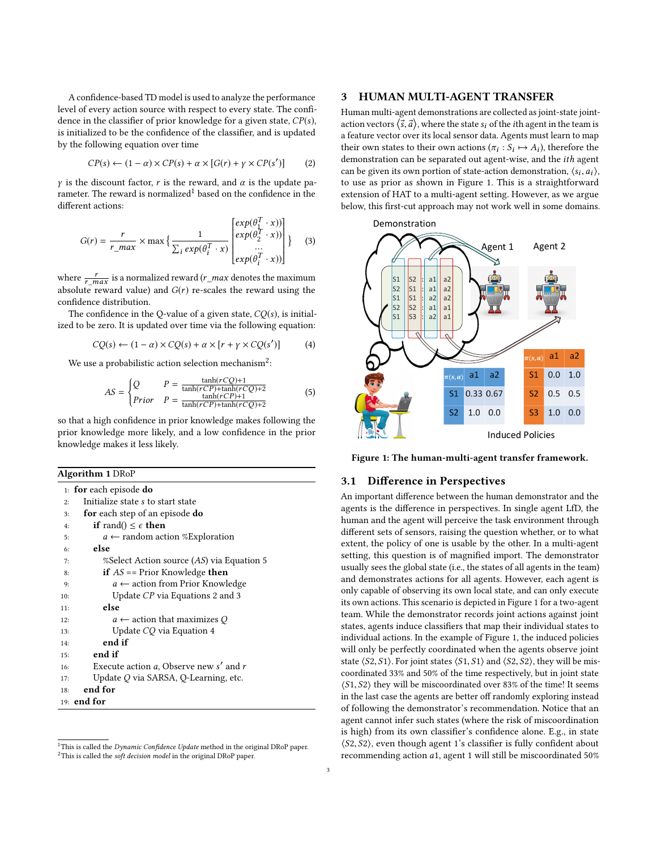A confidence-based TD model is used to analyze the performance level of every action source with respect to every state. The confidence in the classifier of prior knowledge for a given state,  $CP(s)$ , is initialized to be the confidence of the classifier, and is updated by the following equation over time

<span id="page-2-4"></span>
$$
CP(s) \leftarrow (1 - \alpha) \times CP(s) + \alpha \times [G(r) + \gamma \times CP(s')] \tag{2}
$$

γ is the discount factor, r is the reward, and  $\alpha$  is the update pa-rameter. The reward is normalized<sup>[1](#page-2-1)</sup> based on the confidence in the different actions:

<span id="page-2-5"></span>
$$
G(r) = \frac{r}{r_{\perp} \max} \times \max \left\{ \frac{1}{\sum_{i} exp(\theta_{i}^{T} \cdot x)} \begin{bmatrix} exp(\theta_{1}^{T} \cdot x)) \\ exp(\theta_{2}^{T} \cdot x)) \\ \dots \\ exp(\theta_{i}^{T} \cdot x) \end{bmatrix} \right\} \quad (3)
$$

where  $\frac{r}{r\_max}$  is a normalized reward  $(r\_max$  denotes the maximum<br>obsolute xerved velvel and  $C(x)$  is escales the xerved veing the absolute reward value) and  $G(r)$  re-scales the reward using the confidence distribution.

The confidence in the Q-value of a given state,  $CQ(s)$ , is initialized to be zero. It is updated over time via the following equation:

<span id="page-2-6"></span>
$$
CQ(s) \leftarrow (1 - \alpha) \times CQ(s) + \alpha \times [r + \gamma \times CQ(s')] \tag{4}
$$

We use a probabilistic action selection mechanism $^2$  $^2$ :

<span id="page-2-3"></span>
$$
AS = \begin{cases} Q & P = \frac{\tanh(rCQ) + 1}{\tanh(rCP) + \tanh(rCQ) + 2} \\ Prior & P = \frac{\tanh(rCP) + 1}{\tanh(rCP) + \tanh(rCQ) + 2} \end{cases}
$$
(5)

so that a high confidence in prior knowledge makes following the prior knowledge more likely, and a low confidence in the prior knowledge makes it less likely.

#### Algorithm 1 DRoP

| 1: <b>for</b> each episode <b>do</b>                |
|-----------------------------------------------------|
| Initialize state s to start state<br>2:             |
| <b>for</b> each step of an episode <b>do</b><br>3:  |
| <b>if</b> rand() $\leq \epsilon$ <b>then</b><br>4:  |
| $a \leftarrow$ random action %Exploration<br>5:     |
| else<br>6:                                          |
| %Select Action source (AS) via Equation 5<br>7:     |
| <b>if</b> $AS ==$ Prior Knowledge <b>then</b><br>8: |
| $a \leftarrow$ action from Prior Knowledge<br>9:    |
| Update CP via Equations 2 and 3<br>10:              |
| else<br>11:                                         |
| $a \leftarrow$ action that maximizes Q<br>12:       |
| Update CQ via Equation 4<br>13:                     |
| end if<br>14:                                       |
| end if<br>15:                                       |
| Execute action a, Observe new s' and r<br>16:       |
| Update Q via SARSA, Q-Learning, etc.<br>17:         |
| end for<br>18:                                      |
| 19: $end for$                                       |

<span id="page-2-2"></span><span id="page-2-1"></span><span id="page-2-0"></span><sup>&</sup>lt;sup>1</sup>This is called the *Dynamic Confidence Update* method in the original DRoP paper. <sup>2</sup>This is called the soft decision model in the original DRoP paper.

## 3 HUMAN MULTI-AGENT TRANSFER

Human multi-agent demonstrations are collected as joint-state jointaction vectors  $\langle \vec{s}, \vec{a} \rangle$ , where the state  $s_i$  of the *i*th agent in the team is a feature vector over its local sensor data. Agents must learn to map their own states to their own actions  $(\pi_i : S_i \mapsto A_i)$ , therefore the demonstration can be converted out agent wise, and the *i*th agent demonstration can be separated out agent-wise, and the ith agent can be given its own portion of state-action demonstration,  $\langle s_i, a_i \rangle$ , to use as prior as shown in Figure 1. This is a straightforward to use as prior as shown in Figure [1.](#page-2-7) This is a straightforward extension of HAT to a multi-agent setting. However, as we argue below, this first-cut approach may not work well in some domains.

<span id="page-2-7"></span>

Figure 1: The human-multi-agent transfer framework.

#### 3.1 Difference in Perspectives

An important difference between the human demonstrator and the agents is the difference in perspectives. In single agent LfD, the human and the agent will perceive the task environment through different sets of sensors, raising the question whether, or to what extent, the policy of one is usable by the other. In a multi-agent setting, this question is of magnified import. The demonstrator usually sees the global state (i.e., the states of all agents in the team) and demonstrates actions for all agents. However, each agent is only capable of observing its own local state, and can only execute its own actions. This scenario is depicted in Figure [1](#page-2-7) for a two-agent team. While the demonstrator records joint actions against joint states, agents induce classifiers that map their individual states to individual actions. In the example of Figure [1,](#page-2-7) the induced policies will only be perfectly coordinated when the agents observe joint state  $\langle S2, S1 \rangle$ . For joint states  $\langle S1, S1 \rangle$  and  $\langle S2, S2 \rangle$ , they will be miscoordinated 33% and 50% of the time respectively, but in joint state  $\langle S1, S2 \rangle$  they will be miscoordinated over 83% of the time! It seems in the last case the agents are better off randomly exploring instead of following the demonstrator's recommendation. Notice that an agent cannot infer such states (where the risk of miscoordination is high) from its own classifier's confidence alone. E.g., in state ⟨S2, S2⟩, even though agent 1's classifier is fully confident about recommending action a1, agent 1 will still be miscoordinated 50%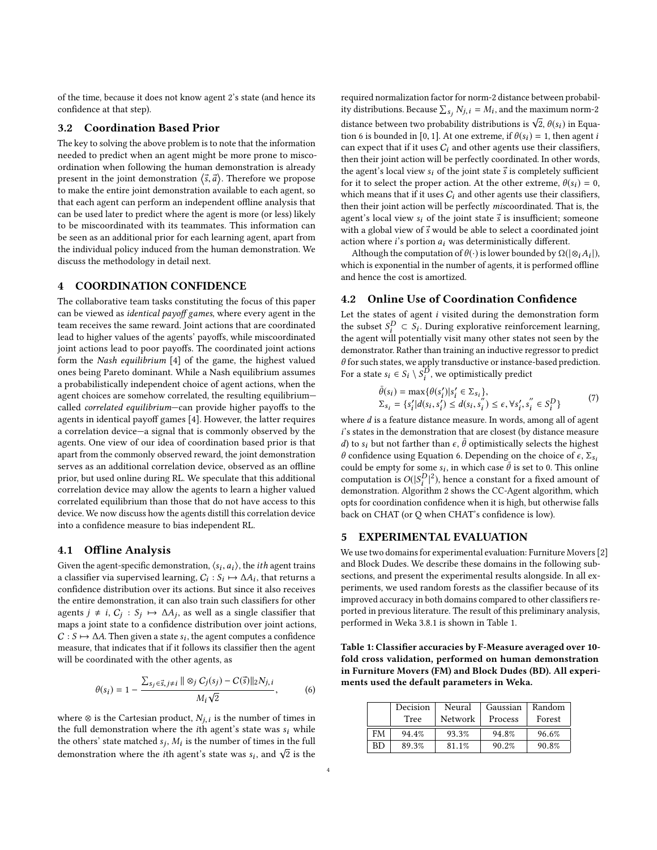of the time, because it does not know agent 2's state (and hence its confidence at that step).

#### 3.2 Coordination Based Prior

The key to solving the above problem is to note that the information needed to predict when an agent might be more prone to miscoordination when following the human demonstration is already present in the joint demonstration  $\langle \vec{s}, \vec{a} \rangle$ . Therefore we propose<br>to make the entire joint demonstration available to each agent, so to make the entire joint demonstration available to each agent, so that each agent can perform an independent offline analysis that can be used later to predict where the agent is more (or less) likely to be miscoordinated with its teammates. This information can be seen as an additional prior for each learning agent, apart from the individual policy induced from the human demonstration. We discuss the methodology in detail next.

#### 4 COORDINATION CONFIDENCE

The collaborative team tasks constituting the focus of this paper can be viewed as *identical payoff games*, where every agent in the team receives the same reward. Joint actions that are coordinated lead to higher values of the agents' payoffs, while miscoordinated joint actions lead to poor payoffs. The coordinated joint actions form the Nash equilibrium [\[4\]](#page-7-12) of the game, the highest valued ones being Pareto dominant. While a Nash equilibrium assumes a probabilistically independent choice of agent actions, when the agent choices are somehow correlated, the resulting equilibrium called correlated equilibrium—can provide higher payoffs to the agents in identical payoff games [\[4\]](#page-7-12). However, the latter requires a correlation device—a signal that is commonly observed by the agents. One view of our idea of coordination based prior is that apart from the commonly observed reward, the joint demonstration serves as an additional correlation device, observed as an offline prior, but used online during RL. We speculate that this additional correlation device may allow the agents to learn a higher valued correlated equilibrium than those that do not have access to this device. We now discuss how the agents distill this correlation device into a confidence measure to bias independent RL.

## 4.1 Offline Analysis

Given the agent-specific demonstration,  $\langle s_i, a_i \rangle$ , the *ith* agent trains<br>a classifier via supervised learning  $C_1$ :  $S_2 \rightarrow A_1$ , that returns a a classifier via supervised learning,  $C_i : S_i \mapsto \Delta A_i$ , that returns a confidence distribution over its actions. But since it also receives confidence distribution over its actions. But since it also receives the entire demonstration, it can also train such classifiers for other agents  $j \neq i$ ,  $C_j : S_j \mapsto \Delta A_j$ , as well as a single classifier that maps a joint setted to a confidence distribution over joint actions maps a joint state to a confidence distribution over joint actions,  $C : S \mapsto \Delta A$ . Then given a state  $s_i$ , the agent computes a confidence measure that indicates that if it follows its classifier than the agent measure, that indicates that if it follows its classifier then the agent will be coordinated with the other agents, as

<span id="page-3-0"></span>
$$
\theta(s_i) = 1 - \frac{\sum_{s_j \in \vec{s}, j \neq i} || \otimes_j C_j(s_j) - C(\vec{s}) ||_2 N_{j, i}}{M_i \sqrt{2}},
$$
(6)

where ⊗ is the Cartesian product,  $N_{j,i}$  is the number of times in the full demonstration where the *i*th agent's state was supplied the full demonstration where the *i*th agent's state was  $s_i$  while the others' state matched  $s_j$ ,  $M_i$  is the number of times in the full demonstration where the *i*th agent's state was a cand  $\sqrt{2}$  is the demonstration where the *i*th agent's state was  $s_i$ , and  $\sqrt{2}$  is the required normalization factor for norm-2 distance between probability distributions. Because  $\sum_{s_j} N_{j,i} = M_i$ , and the maximum norm-2 distance between two probability distributions is  $\sqrt{2}$ ,  $\theta(s_i)$  in Equation 6 is bounded in [0, 1]. At one extreme if  $\theta(s_i) = 1$ , then agent is tion [6](#page-3-0) is bounded in [0, 1]. At one extreme, if  $\theta(s_i) = 1$ , then agent *i* can expect that if it uses  $C_i$  and other agents use their classifiers, then their joint action will be perfectly coordinated. In other words, the agent's local view  $s_i$  of the joint state  $\vec{s}$  is completely sufficient for it to select the proper action. At the other extreme,  $\theta(s_i) = 0$ , which means that if it uses  $C_i$  and other agents use their classifiers, then their joint action will be perfectly miscoordinated. That is, the agent's local view  $s_i$  of the joint state  $\vec{s}$  is insufficient; someone with a global view of  $\vec{s}$  would be able to select a coordinated joint action where  $i$ 's portion  $a_i$  was deterministically different.

Although the computation of  $\theta(\cdot)$  is lower bounded by  $\Omega(|\otimes_i A_i|)$ ,<br>ich is exponential in the number of agents, it is performed offline which is exponential in the number of agents, it is performed offline and hence the cost is amortized.

#### 4.2 Online Use of Coordination Confidence

Let the states of agent i visited during the demonstration form the subset  $S_i^D \subset \tilde{S_i}$ . During explorative reinforcement learning,<br>the agent will potentially visit many other states not seen by the the agent will potentially visit many other states not seen by the demonstrator. Rather than training an inductive regressor to predict  $\theta$  for such states, we apply transductive or instance-based prediction. For a state  $s_i \in S_i \setminus \overline{S_i^D}$ , we optimistically predict

$$
\bar{\theta}(s_i) = \max{\{\theta(s'_i)|s'_i \in \Sigma_{s_i}\}},
$$
\n
$$
\Sigma_{s_i} = \{s'_i | d(s_i, s'_i) \le d(s_i, s''_i) \le \epsilon, \forall s'_i, s''_i \in S_i^D\}
$$
\n(7)

where d is a feature distance measure. In words, among all of agent<br>  $i'$  is states in the demonstration that are closest (by distance measure i's states in the demonstration that are closest (by distance measure  $d$ ) to s<sub>i</sub> but not farther than  $\epsilon$ ,  $\bar{\theta}$  optimistically selects the highest<br> $d$  confidence using Equation 6. Depending on the choice of  $\epsilon$ . θ confidence using Equation [6.](#page-3-0) Depending on the choice of  $\epsilon$ ,  $\Sigma$ <sub>s<sub>i</sub></sub> could be empty for some  $s_i$ , in which case  $\bar{\theta}$  is set to 0. This online<br>computation is  $O(|S^D|^2)$  hance a constant for a fixed amount of computation is  $O(|S_i^D)$ <br>demonstration Algoria | <sup>2</sup>), hence a constant for a fixed amount of demonstration. Algorithm [2](#page-4-0) shows the CC-Agent algorithm, which opts for coordination confidence when it is high, but otherwise falls back on CHAT (or Q when CHAT's confidence is low).

## 5 EXPERIMENTAL EVALUATION

We use two domains for experimental evaluation: Furniture Movers [\[2\]](#page-7-9) and Block Dudes. We describe these domains in the following subsections, and present the experimental results alongside. In all experiments, we used random forests as the classifier because of its improved accuracy in both domains compared to other classifiers reported in previous literature. The result of this preliminary analysis, performed in Weka 3.8.1 is shown in Table [1.](#page-3-1)

<span id="page-3-1"></span>Table 1: Classifier accuracies by F-Measure averaged over 10 fold cross validation, performed on human demonstration in Furniture Movers (FM) and Block Dudes (BD). All experiments used the default parameters in Weka.

|           | Decision<br>Tree | Neural<br>Network | Gaussian<br>Process | Random<br>Forest |
|-----------|------------------|-------------------|---------------------|------------------|
| FM        | 94.4%            | 93.3%             | 94.8%               | 96.6%            |
| <b>BD</b> | 89.3%            | 81.1%             | 90.2%               | 90.8%            |
|           |                  |                   |                     |                  |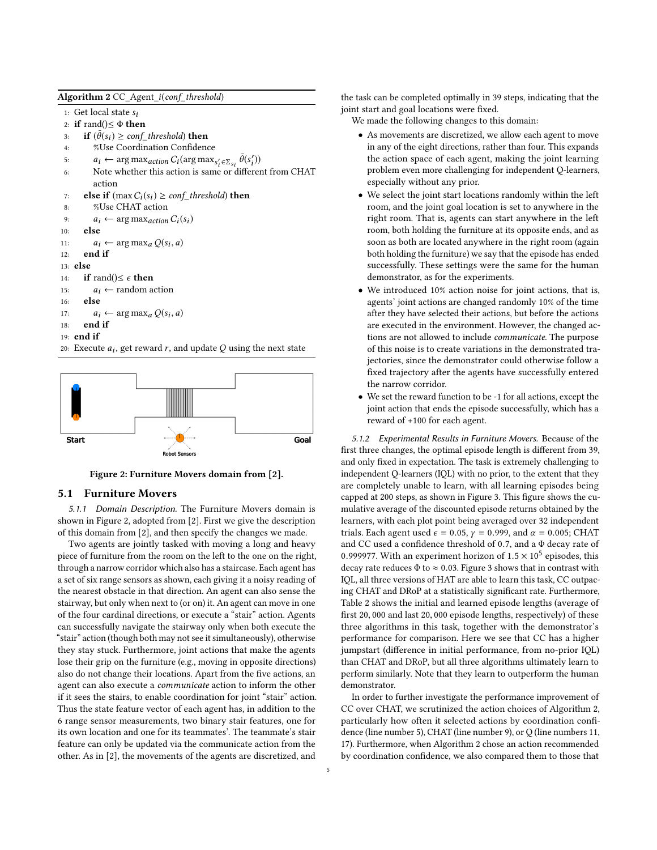Algorithm 2 CC Agent *i(conf threshold)* 

1: Get local state  $s_i$ 

- 2: if rand() $\leq \Phi$  then<br>3: if  $(\bar{\theta}(s_i)) > \text{conf}$
- 3: if  $(\bar{\theta}(s_i) \geq conf\_threshold)$  then<br>4.  $\sigma$ <sup>U</sup> Lee Coordination Confidence

```
4: %Use Coordination Confidence
```
- 5:  $a_i \leftarrow \arg \max_{\alpha \in \text{dom } C_i} G_i(\arg \max_{s'_i \in \Sigma_{s_i}} \bar{\theta}(s'_i))$
- 6: Note whether this action is same or different from CHAT action
- 7: **else if**  $(\max C_i(s_i) \geq \text{conf\_threshold})$  then<br>8: %Use CHAT action
- %Use CHAT action
- 9:  $a_i \leftarrow \arg \max_{action} C_i(s_i)$ <br>10: **else**
- else
- 11:  $a_i \leftarrow \arg \max_a Q(s_i, a)$ <br>12. and if
- 12: end if
- 13: else
- 14: **if** rand()≤  $\epsilon$  **then**<br>15:  $a_i \leftarrow$  random a
- 15:  $a_i \leftarrow \text{random action}$ <br>16: **else**
- else

```
17: a_i \leftarrow \arg \max_a Q(s_i, a)<br>18. end if
```
<span id="page-4-0"></span>18: end if 19: end if

20: Execute  $a_i$ , get reward r, and update Q using the next state

<span id="page-4-1"></span>

Figure 2: Furniture Movers domain from [\[2\]](#page-7-9).

#### 5.1 Furniture Movers

5.1.1 Domain Description. The Furniture Movers domain is shown in Figure [2,](#page-4-1) adopted from [\[2\]](#page-7-9). First we give the description of this domain from [\[2\]](#page-7-9), and then specify the changes we made.

Two agents are jointly tasked with moving a long and heavy piece of furniture from the room on the left to the one on the right, through a narrow corridor which also has a staircase. Each agent has a set of six range sensors as shown, each giving it a noisy reading of the nearest obstacle in that direction. An agent can also sense the stairway, but only when next to (or on) it. An agent can move in one of the four cardinal directions, or execute a "stair" action. Agents can successfully navigate the stairway only when both execute the "stair" action (though both may not see it simultaneously), otherwise they stay stuck. Furthermore, joint actions that make the agents lose their grip on the furniture (e.g., moving in opposite directions) also do not change their locations. Apart from the five actions, an agent can also execute a communicate action to inform the other if it sees the stairs, to enable coordination for joint "stair" action. Thus the state feature vector of each agent has, in addition to the 6 range sensor measurements, two binary stair features, one for its own location and one for its teammates'. The teammate's stair feature can only be updated via the communicate action from the other. As in [\[2\]](#page-7-9), the movements of the agents are discretized, and

the task can be completed optimally in 39 steps, indicating that the joint start and goal locations were fixed.

We made the following changes to this domain:

- As movements are discretized, we allow each agent to move in any of the eight directions, rather than four. This expands the action space of each agent, making the joint learning problem even more challenging for independent Q-learners, especially without any prior.
- We select the joint start locations randomly within the left room, and the joint goal location is set to anywhere in the right room. That is, agents can start anywhere in the left room, both holding the furniture at its opposite ends, and as soon as both are located anywhere in the right room (again both holding the furniture) we say that the episode has ended successfully. These settings were the same for the human demonstrator, as for the experiments.
- We introduced 10% action noise for joint actions, that is, agents' joint actions are changed randomly 10% of the time after they have selected their actions, but before the actions are executed in the environment. However, the changed actions are not allowed to include *communicate*. The purpose of this noise is to create variations in the demonstrated trajectories, since the demonstrator could otherwise follow a fixed trajectory after the agents have successfully entered the narrow corridor.
- We set the reward function to be -1 for all actions, except the joint action that ends the episode successfully, which has a reward of +100 for each agent.

5.1.2 Experimental Results in Furniture Movers. Because of the first three changes, the optimal episode length is different from 39, and only fixed in expectation. The task is extremely challenging to independent Q-learners (IQL) with no prior, to the extent that they are completely unable to learn, with all learning episodes being capped at 200 steps, as shown in Figure [3.](#page-5-0) This figure shows the cumulative average of the discounted episode returns obtained by the learners, with each plot point being averaged over 32 independent trials. Each agent used  $\epsilon = 0.05$ ,  $\gamma = 0.999$ , and  $\alpha = 0.005$ ; CHAT and CC used a confidence threshold of <sup>0</sup>.7, and a Φ decay rate of 0.999977. With an experiment horizon of  $1.5 \times 10^5$  episodes, this decay rate reduces  $\Phi$  to  $\approx 0.03$ . Figure 3 shows that in contrast with decay rate reduces  $\Phi$  to  $\approx 0.03$ . Figure [3](#page-5-0) shows that in contrast with IQL, all three versions of HAT are able to learn this task, CC outpacing CHAT and DRoP at a statistically significant rate. Furthermore, Table [2](#page-5-1) shows the initial and learned episode lengths (average of first <sup>20</sup>, <sup>000</sup> and last <sup>20</sup>, <sup>000</sup> episode lengths, respectively) of these three algorithms in this task, together with the demonstrator's performance for comparison. Here we see that CC has a higher jumpstart (difference in initial performance, from no-prior IQL) than CHAT and DRoP, but all three algorithms ultimately learn to perform similarly. Note that they learn to outperform the human demonstrator.

In order to further investigate the performance improvement of CC over CHAT, we scrutinized the action choices of Algorithm [2,](#page-4-0) particularly how often it selected actions by coordination confidence (line number 5), CHAT (line number 9), or Q (line numbers 11, 17). Furthermore, when Algorithm [2](#page-4-0) chose an action recommended by coordination confidence, we also compared them to those that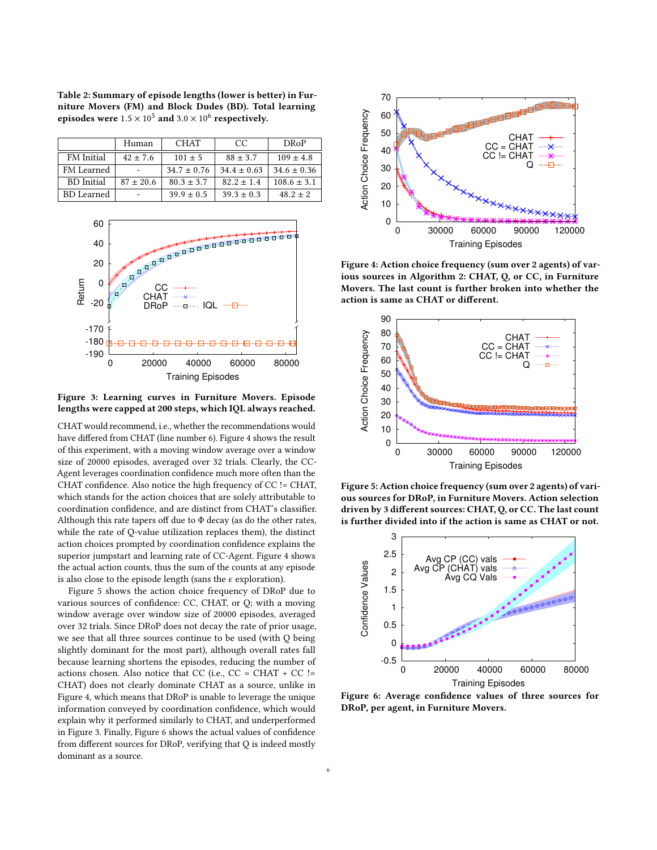<span id="page-5-1"></span>Table 2: Summary of episode lengths (lower is better) in Furniture Movers (FM) and Block Dudes (BD). Total learning episodes were  $1.5 \times 10^5$  and  $3.0 \times 10^6$  respectively.

| Human         | <b>CHAT</b>     | CC              | <b>DRoP</b>     |
|---------------|-----------------|-----------------|-----------------|
| $42 \pm 7.6$  | $101 \pm 5$     | $88 \pm 3.7$    | $109 \pm 4.8$   |
|               | $34.7 \pm 0.76$ | $34.4 \pm 0.63$ | $34.6 \pm 0.36$ |
| $87 \pm 20.6$ | $80.3 \pm 3.7$  | $82.2 \pm 1.4$  | $108.6 \pm 3.1$ |
|               | $39.9 \pm 0.5$  | $39.3 \pm 0.3$  | $48.2 \pm 2$    |
|               |                 |                 |                 |

<span id="page-5-0"></span>

Figure 3: Learning curves in Furniture Movers. Episode lengths were capped at 200 steps, which IQL always reached.

CHAT would recommend, i.e., whether the recommendations would have differed from CHAT (line number 6). Figure [4](#page-5-2) shows the result of this experiment, with a moving window average over a window size of 20000 episodes, averaged over 32 trials. Clearly, the CC-Agent leverages coordination confidence much more often than the CHAT confidence. Also notice the high frequency of CC != CHAT, which stands for the action choices that are solely attributable to coordination confidence, and are distinct from CHAT's classifier. Although this rate tapers off due to  $\Phi$  decay (as do the other rates, while the rate of Q-value utilization replaces them), the distinct action choices prompted by coordination confidence explains the superior jumpstart and learning rate of CC-Agent. Figure [4](#page-5-2) shows the actual action counts, thus the sum of the counts at any episode is also close to the episode length (sans the  $\epsilon$  exploration).

Figure [5](#page-5-3) shows the action choice frequency of DRoP due to various sources of confidence: CC, CHAT, or Q; with a moving window average over window size of 20000 episodes, averaged over 32 trials. Since DRoP does not decay the rate of prior usage, we see that all three sources continue to be used (with Q being slightly dominant for the most part), although overall rates fall because learning shortens the episodes, reducing the number of actions chosen. Also notice that CC (i.e.,  $CC = CHAT + CC$  != CHAT) does not clearly dominate CHAT as a source, unlike in Figure [4,](#page-5-2) which means that DRoP is unable to leverage the unique information conveyed by coordination confidence, which would explain why it performed similarly to CHAT, and underperformed in Figure [3.](#page-5-0) Finally, Figure [6](#page-5-4) shows the actual values of confidence from different sources for DRoP, verifying that Q is indeed mostly dominant as a source.

<span id="page-5-2"></span>

Figure 4: Action choice frequency (sum over 2 agents) of various sources in Algorithm [2:](#page-4-0) CHAT, Q, or CC, in Furniture Movers. The last count is further broken into whether the action is same as CHAT or different.

<span id="page-5-3"></span>

Figure 5: Action choice frequency (sum over 2 agents) of various sources for DRoP, in Furniture Movers. Action selection driven by 3 different sources: CHAT, Q, or CC. The last count is further divided into if the action is same as CHAT or not.

<span id="page-5-4"></span>

Figure 6: Average confidence values of three sources for DRoP, per agent, in Furniture Movers.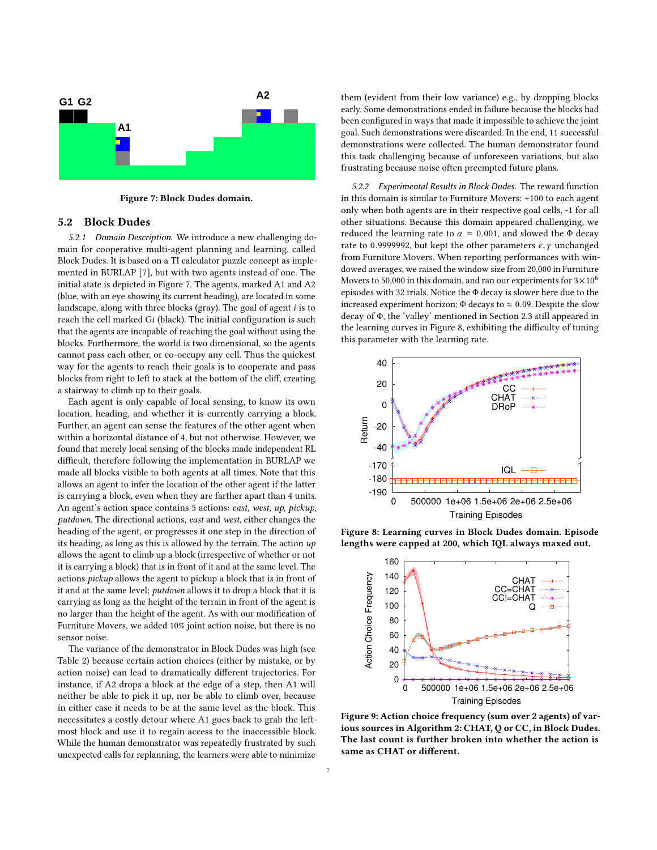<span id="page-6-0"></span>

Figure 7: Block Dudes domain.

## 5.2 Block Dudes

5.2.1 Domain Description. We introduce a new challenging domain for cooperative multi-agent planning and learning, called Block Dudes. It is based on a TI calculator puzzle concept as implemented in BURLAP [\[7\]](#page-7-13), but with two agents instead of one. The initial state is depicted in Figure [7.](#page-6-0) The agents, marked A1 and A2 (blue, with an eye showing its current heading), are located in some landscape, along with three blocks (gray). The goal of agent i is to reach the cell marked Gi (black). The initial configuration is such that the agents are incapable of reaching the goal without using the blocks. Furthermore, the world is two dimensional, so the agents cannot pass each other, or co-occupy any cell. Thus the quickest way for the agents to reach their goals is to cooperate and pass blocks from right to left to stack at the bottom of the cliff, creating a stairway to climb up to their goals.

Each agent is only capable of local sensing, to know its own location, heading, and whether it is currently carrying a block. Further, an agent can sense the features of the other agent when within a horizontal distance of 4, but not otherwise. However, we found that merely local sensing of the blocks made independent RL difficult, therefore following the implementation in BURLAP we made all blocks visible to both agents at all times. Note that this allows an agent to infer the location of the other agent if the latter is carrying a block, even when they are farther apart than 4 units. An agent's action space contains 5 actions: east, west, up, pickup, putdown. The directional actions, east and west, either changes the heading of the agent, or progresses it one step in the direction of its heading, as long as this is allowed by the terrain. The action  $up$ allows the agent to climb up a block (irrespective of whether or not it is carrying a block) that is in front of it and at the same level. The actions pickup allows the agent to pickup a block that is in front of it and at the same level; putdown allows it to drop a block that it is carrying as long as the height of the terrain in front of the agent is no larger than the height of the agent. As with our modification of Furniture Movers, we added 10% joint action noise, but there is no sensor noise.

The variance of the demonstrator in Block Dudes was high (see Table [2\)](#page-5-1) because certain action choices (either by mistake, or by action noise) can lead to dramatically different trajectories. For instance, if A2 drops a block at the edge of a step, then A1 will neither be able to pick it up, nor be able to climb over, because in either case it needs to be at the same level as the block. This necessitates a costly detour where A1 goes back to grab the leftmost block and use it to regain access to the inaccessible block. While the human demonstrator was repeatedly frustrated by such unexpected calls for replanning, the learners were able to minimize

them (evident from their low variance) e.g., by dropping blocks early. Some demonstrations ended in failure because the blocks had been configured in ways that made it impossible to achieve the joint goal. Such demonstrations were discarded. In the end, 11 successful demonstrations were collected. The human demonstrator found this task challenging because of unforeseen variations, but also frustrating because noise often preempted future plans.

5.2.2 Experimental Results in Block Dudes. The reward function in this domain is similar to Furniture Movers: +100 to each agent only when both agents are in their respective goal cells, -1 for all other situations. Because this domain appeared challenging, we reduced the learning rate to  $\alpha = 0.001$ , and slowed the Φ decay rate to 0.9999992, but kept the other parameters  $\epsilon$ ,  $\gamma$  unchanged from Furniture Movers. When reporting performances with windowed averages, we raised the window size from 20,000 in Furniture Movers to 50,000 in this domain, and ran our experiments for  $3\times10^6$ episodes with 32 trials. Notice the Φ decay is slower here due to the increased experiment horizon;  $\Phi$  decays to  $\approx$  0.09. Despite the slow decay of Φ, the 'valley' mentioned in Section [2.3](#page-1-1) still appeared in the learning curves in Figure [8,](#page-6-1) exhibiting the difficulty of tuning this parameter with the learning rate.

<span id="page-6-1"></span>

Figure 8: Learning curves in Block Dudes domain. Episode lengths were capped at 200, which IQL always maxed out.

<span id="page-6-2"></span>

Figure 9: Action choice frequency (sum over 2 agents) of various sources in Algorithm [2:](#page-4-0) CHAT, Q or CC, in Block Dudes. The last count is further broken into whether the action is same as CHAT or different.